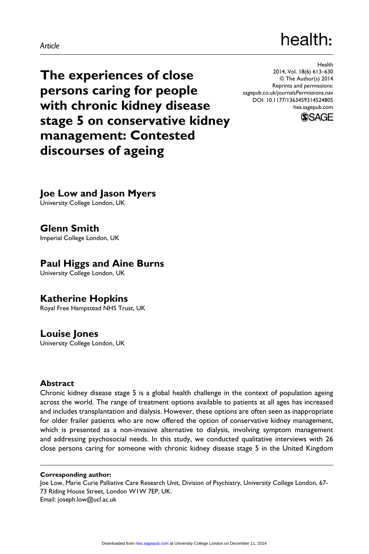# health:

2014, Vol. 18(6) 613–630 © The Author(s) 2014 Reprints and permissions:

Health

**The experiences of close persons caring for people with chronic kidney disease stage 5 on conservative kidney management: Contested discourses of ageing**

sagepub.co.uk/journalsPermissions.nav DOI: 10.1177/1363459314524805 hea.sagepub.com (\$)SAGE

# **Joe Low and Jason Myers**

University College London, UK

# **Glenn Smith**

Imperial College London, UK

# **Paul Higgs and Aine Burns**

University College London, UK

# **Katherine Hopkins**

Royal Free Hampstead NHS Trust, UK

# **Louise Jones**

University College London, UK

# **Abstract**

Chronic kidney disease stage 5 is a global health challenge in the context of population ageing across the world. The range of treatment options available to patients at all ages has increased and includes transplantation and dialysis. However, these options are often seen as inappropriate for older frailer patients who are now offered the option of conservative kidney management, which is presented as a non-invasive alternative to dialysis, involving symptom management and addressing psychosocial needs. In this study, we conducted qualitative interviews with 26 close persons caring for someone with chronic kidney disease stage 5 in the United Kingdom

#### **Corresponding author:**

Joe Low, Marie Curie Palliative Care Research Unit, Division of Psychiatry, University College London, 67- 73 Riding House Street, London W1W 7EP, UK. Email: joseph.low@ucl.ac.uk

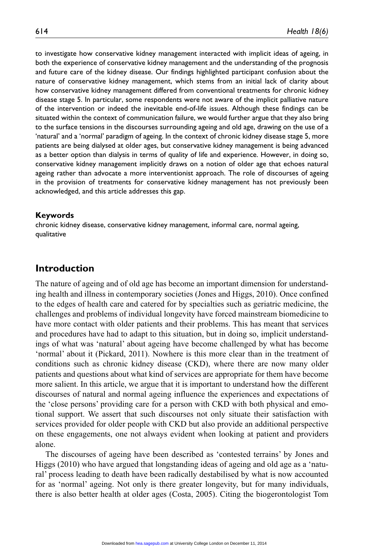to investigate how conservative kidney management interacted with implicit ideas of ageing, in both the experience of conservative kidney management and the understanding of the prognosis and future care of the kidney disease. Our findings highlighted participant confusion about the nature of conservative kidney management, which stems from an initial lack of clarity about how conservative kidney management differed from conventional treatments for chronic kidney disease stage 5. In particular, some respondents were not aware of the implicit palliative nature of the intervention or indeed the inevitable end-of-life issues. Although these findings can be situated within the context of communication failure, we would further argue that they also bring to the surface tensions in the discourses surrounding ageing and old age, drawing on the use of a 'natural' and a 'normal' paradigm of ageing. In the context of chronic kidney disease stage 5, more patients are being dialysed at older ages, but conservative kidney management is being advanced as a better option than dialysis in terms of quality of life and experience. However, in doing so, conservative kidney management implicitly draws on a notion of older age that echoes natural ageing rather than advocate a more interventionist approach. The role of discourses of ageing in the provision of treatments for conservative kidney management has not previously been acknowledged, and this article addresses this gap.

#### **Keywords**

chronic kidney disease, conservative kidney management, informal care, normal ageing, qualitative

# **Introduction**

The nature of ageing and of old age has become an important dimension for understanding health and illness in contemporary societies (Jones and Higgs, 2010). Once confined to the edges of health care and catered for by specialties such as geriatric medicine, the challenges and problems of individual longevity have forced mainstream biomedicine to have more contact with older patients and their problems. This has meant that services and procedures have had to adapt to this situation, but in doing so, implicit understandings of what was 'natural' about ageing have become challenged by what has become 'normal' about it (Pickard, 2011). Nowhere is this more clear than in the treatment of conditions such as chronic kidney disease (CKD), where there are now many older patients and questions about what kind of services are appropriate for them have become more salient. In this article, we argue that it is important to understand how the different discourses of natural and normal ageing influence the experiences and expectations of the 'close persons' providing care for a person with CKD with both physical and emotional support. We assert that such discourses not only situate their satisfaction with services provided for older people with CKD but also provide an additional perspective on these engagements, one not always evident when looking at patient and providers alone.

The discourses of ageing have been described as 'contested terrains' by Jones and Higgs (2010) who have argued that longstanding ideas of ageing and old age as a 'natural' process leading to death have been radically destabilised by what is now accounted for as 'normal' ageing. Not only is there greater longevity, but for many individuals, there is also better health at older ages (Costa, 2005). Citing the biogerontologist Tom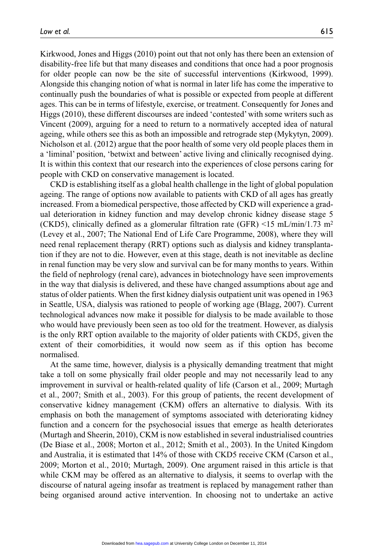Kirkwood, Jones and Higgs (2010) point out that not only has there been an extension of disability-free life but that many diseases and conditions that once had a poor prognosis for older people can now be the site of successful interventions (Kirkwood, 1999). Alongside this changing notion of what is normal in later life has come the imperative to continually push the boundaries of what is possible or expected from people at different ages. This can be in terms of lifestyle, exercise, or treatment. Consequently for Jones and Higgs (2010), these different discourses are indeed 'contested' with some writers such as Vincent (2009), arguing for a need to return to a normatively accepted idea of natural ageing, while others see this as both an impossible and retrograde step (Mykytyn, 2009). Nicholson et al. (2012) argue that the poor health of some very old people places them in a 'liminal' position, 'betwixt and between' active living and clinically recognised dying. It is within this context that our research into the experiences of close persons caring for people with CKD on conservative management is located.

CKD is establishing itself as a global health challenge in the light of global population ageing. The range of options now available to patients with CKD of all ages has greatly increased. From a biomedical perspective, those affected by CKD will experience a gradual deterioration in kidney function and may develop chronic kidney disease stage 5 (CKD5), clinically defined as a glomerular filtration rate (GFR) <15 mL/min/1.73 m<sup>2</sup> (Levey et al., 2007; The National End of Life Care Programme, 2008), where they will need renal replacement therapy (RRT) options such as dialysis and kidney transplantation if they are not to die. However, even at this stage, death is not inevitable as decline in renal function may be very slow and survival can be for many months to years. Within the field of nephrology (renal care), advances in biotechnology have seen improvements in the way that dialysis is delivered, and these have changed assumptions about age and status of older patients. When the first kidney dialysis outpatient unit was opened in 1963 in Seattle, USA, dialysis was rationed to people of working age (Blagg, 2007). Current technological advances now make it possible for dialysis to be made available to those who would have previously been seen as too old for the treatment. However, as dialysis is the only RRT option available to the majority of older patients with CKD5, given the extent of their comorbidities, it would now seem as if this option has become normalised.

At the same time, however, dialysis is a physically demanding treatment that might take a toll on some physically frail older people and may not necessarily lead to any improvement in survival or health-related quality of life (Carson et al., 2009; Murtagh et al., 2007; Smith et al., 2003). For this group of patients, the recent development of conservative kidney management (CKM) offers an alternative to dialysis. With its emphasis on both the management of symptoms associated with deteriorating kidney function and a concern for the psychosocial issues that emerge as health deteriorates (Murtagh and Sheerin, 2010), CKM is now established in several industrialised countries (De Biase et al., 2008; Morton et al., 2012; Smith et al., 2003). In the United Kingdom and Australia, it is estimated that 14% of those with CKD5 receive CKM (Carson et al., 2009; Morton et al., 2010; Murtagh, 2009). One argument raised in this article is that while CKM may be offered as an alternative to dialysis, it seems to overlap with the discourse of natural ageing insofar as treatment is replaced by management rather than being organised around active intervention. In choosing not to undertake an active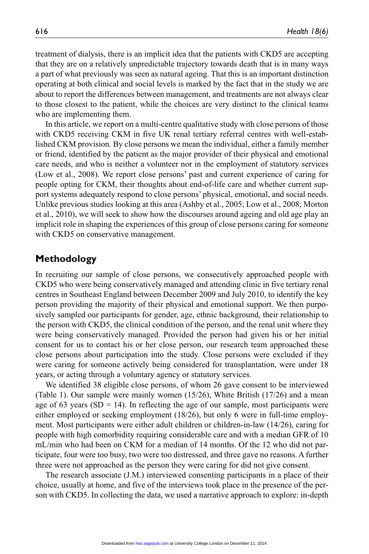treatment of dialysis, there is an implicit idea that the patients with CKD5 are accepting that they are on a relatively unpredictable trajectory towards death that is in many ways a part of what previously was seen as natural ageing. That this is an important distinction operating at both clinical and social levels is marked by the fact that in the study we are about to report the differences between management, and treatments are not always clear to those closest to the patient, while the choices are very distinct to the clinical teams who are implementing them.

In this article, we report on a multi-centre qualitative study with close persons of those with CKD5 receiving CKM in five UK renal tertiary referral centres with well-established CKM provision. By close persons we mean the individual, either a family member or friend, identified by the patient as the major provider of their physical and emotional care needs, and who is neither a volunteer nor in the employment of statutory services (Low et al., 2008). We report close persons' past and current experience of caring for people opting for CKM, their thoughts about end-of-life care and whether current support systems adequately respond to close persons' physical, emotional, and social needs. Unlike previous studies looking at this area (Ashby et al., 2005; Low et al., 2008; Morton et al., 2010), we will seek to show how the discourses around ageing and old age play an implicit role in shaping the experiences of this group of close persons caring for someone with CKD5 on conservative management.

## **Methodology**

In recruiting our sample of close persons, we consecutively approached people with CKD5 who were being conservatively managed and attending clinic in five tertiary renal centres in Southeast England between December 2009 and July 2010, to identify the key person providing the majority of their physical and emotional support. We then purposively sampled our participants for gender, age, ethnic background, their relationship to the person with CKD5, the clinical condition of the person, and the renal unit where they were being conservatively managed. Provided the person had given his or her initial consent for us to contact his or her close person, our research team approached these close persons about participation into the study. Close persons were excluded if they were caring for someone actively being considered for transplantation, were under 18 years, or acting through a voluntary agency or statutory services.

We identified 38 eligible close persons, of whom 26 gave consent to be interviewed (Table 1). Our sample were mainly women (15/26), White British (17/26) and a mean age of 63 years ( $SD = 14$ ). In reflecting the age of our sample, most participants were either employed or seeking employment (18/26), but only 6 were in full-time employment. Most participants were either adult children or children-in-law (14/26), caring for people with high comorbidity requiring considerable care and with a median GFR of 10 mL/min who had been on CKM for a median of 14 months. Of the 12 who did not participate, four were too busy, two were too distressed, and three gave no reasons. A further three were not approached as the person they were caring for did not give consent.

The research associate (J.M.) interviewed consenting participants in a place of their choice, usually at home, and five of the interviews took place in the presence of the person with CKD5. In collecting the data, we used a narrative approach to explore: in-depth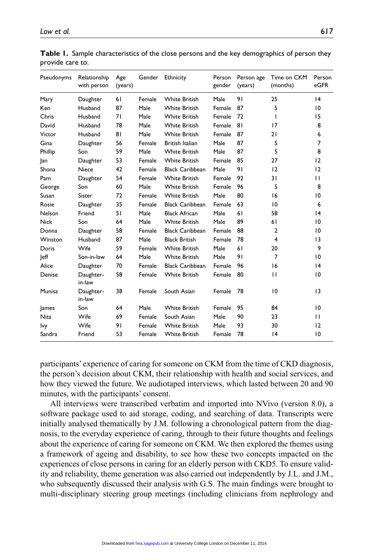| Low et al. |  |
|------------|--|
|            |  |
|            |  |

| Pseudonyms  | Relationship<br>with person | Age<br>(years) | Gender | Ethnicity              | Person<br>gender | Person age<br>(years) | Time on CKM<br>(months) | Person<br>eGFR  |
|-------------|-----------------------------|----------------|--------|------------------------|------------------|-----------------------|-------------------------|-----------------|
| Mary        | Daughter                    | 61             | Female | <b>White British</b>   | Male             | 91                    | 25                      | 4               |
| Ken         | Husband                     | 87             | Male   | <b>White British</b>   | Female           | 87                    | 5                       | $\overline{10}$ |
| Chris       | Husband                     | 71             | Male   | <b>White British</b>   | Female           | 72                    | L                       | 15              |
| David       | Husband                     | 78             | Male   | <b>White British</b>   | Female           | -81                   | 17                      | 8               |
| Victor      | Husband                     | 81             | Male   | <b>White British</b>   | Female           | 87                    | 21                      | 6               |
| Gina        | Daughter                    | 56             | Female | British Italian        | Male             | 87                    | 5                       | $\overline{7}$  |
| Phillip     | Son                         | 59             | Male   | <b>White British</b>   | Male             | 87                    | 5                       | 8               |
| lan         | Daughter                    | 53             | Female | <b>White British</b>   | Female           | 85                    | 27                      | 12              |
| Shona       | Niece                       | 42             | Female | <b>Black Caribbean</b> | Male             | 91                    | 12                      | 12              |
| Pam         | Daughter                    | 54             | Female | <b>White British</b>   | Female           | 92                    | 31                      | П               |
| George      | Son                         | 60             | Male   | <b>White British</b>   | Female           | 96                    | 5                       | 8               |
| Susan       | Sister                      | 72             | Female | <b>White British</b>   | Male             | 80                    | 16                      | $\overline{10}$ |
| Rosie       | Daughter                    | 35             | Female | <b>Black Caribbean</b> | Female           | 63                    | 10                      | 6               |
| Nelson      | Friend                      | 51             | Male   | <b>Black African</b>   | Male             | 61                    | 58                      | 4               |
| <b>Nick</b> | Son                         | 64             | Male   | <b>White British</b>   | Male             | 89                    | 61                      | $\overline{10}$ |
| Donna       | Daughter                    | 58             | Female | <b>Black Caribbean</b> | Female           | 88                    | $\overline{2}$          | $\overline{10}$ |
| Winston     | Husband                     | 87             | Male   | <b>Black British</b>   | Female           | 78                    | 4                       | 13              |
| Doris       | Wife                        | 59             | Female | <b>White British</b>   | Male             | 61                    | 20                      | 9               |
| leff        | Son-in-law                  | 64             | Male   | <b>White British</b>   | Male             | 91                    | $\overline{7}$          | 10              |
| Alice       | Daughter                    | 70             | Female | <b>Black Caribbean</b> | Female           | 96                    | 16                      | 4               |
| Denise      | Daughter-<br>in-law         | 58             | Female | <b>White British</b>   | Female           | 80                    | $\mathbf{H}$            | 10              |
| Munisa      | Daughter-<br>in-law         | 38             | Female | South Asian            | Female           | 78                    | 10                      | 13              |
| James       | Son                         | 64             | Male   | <b>White British</b>   | Female           | 95                    | 84                      | $\overline{10}$ |
| <b>Nita</b> | Wife                        | 69             | Female | South Asian            | Male             | 90                    | 23                      | Ħ               |
| lvy         | Wife                        | 91             | Female | <b>White British</b>   | Male             | 93                    | 30                      | 12              |
| Sandra      | Friend                      | 53             | Female | <b>White British</b>   | Female           | 78                    | 4                       | 10              |

**Table 1.** Sample characteristics of the close persons and the key demographics of person they provide care to.

participants' experience of caring for someone on CKM from the time of CKD diagnosis, the person's decision about CKM, their relationship with health and social services, and how they viewed the future. We audiotaped interviews, which lasted between 20 and 90 minutes, with the participants' consent.

All interviews were transcribed verbatim and imported into NVivo (version 8.0), a software package used to aid storage, coding, and searching of data. Transcripts were initially analysed thematically by J.M. following a chronological pattern from the diagnosis, to the everyday experience of caring, through to their future thoughts and feelings about the experience of caring for someone on CKM. We then explored the themes using a framework of ageing and disability, to see how these two concepts impacted on the experiences of close persons in caring for an elderly person with CKD5. To ensure validity and reliability, theme generation was also carried out independently by J.L. and J.M., who subsequently discussed their analysis with G.S. The main findings were brought to multi-disciplinary steering group meetings (including clinicians from nephrology and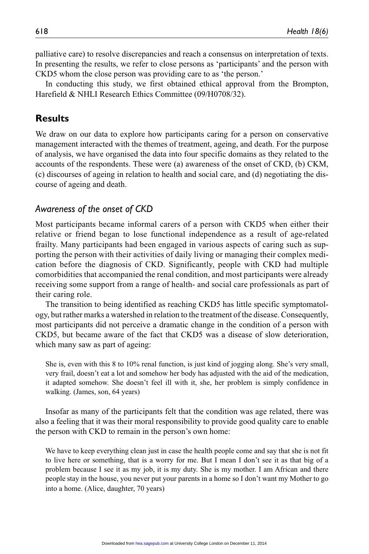palliative care) to resolve discrepancies and reach a consensus on interpretation of texts. In presenting the results, we refer to close persons as 'participants' and the person with CKD5 whom the close person was providing care to as 'the person.'

In conducting this study, we first obtained ethical approval from the Brompton, Harefield & NHLI Research Ethics Committee (09/H0708/32).

# **Results**

We draw on our data to explore how participants caring for a person on conservative management interacted with the themes of treatment, ageing, and death. For the purpose of analysis, we have organised the data into four specific domains as they related to the accounts of the respondents. These were (a) awareness of the onset of CKD, (b) CKM, (c) discourses of ageing in relation to health and social care, and (d) negotiating the discourse of ageing and death.

## *Awareness of the onset of CKD*

Most participants became informal carers of a person with CKD5 when either their relative or friend began to lose functional independence as a result of age-related frailty. Many participants had been engaged in various aspects of caring such as supporting the person with their activities of daily living or managing their complex medication before the diagnosis of CKD. Significantly, people with CKD had multiple comorbidities that accompanied the renal condition, and most participants were already receiving some support from a range of health- and social care professionals as part of their caring role.

The transition to being identified as reaching CKD5 has little specific symptomatology, but rather marks a watershed in relation to the treatment of the disease. Consequently, most participants did not perceive a dramatic change in the condition of a person with CKD5, but became aware of the fact that CKD5 was a disease of slow deterioration, which many saw as part of ageing:

She is, even with this 8 to 10% renal function, is just kind of jogging along. She's very small, very frail, doesn't eat a lot and somehow her body has adjusted with the aid of the medication, it adapted somehow. She doesn't feel ill with it, she, her problem is simply confidence in walking. (James, son, 64 years)

Insofar as many of the participants felt that the condition was age related, there was also a feeling that it was their moral responsibility to provide good quality care to enable the person with CKD to remain in the person's own home:

We have to keep everything clean just in case the health people come and say that she is not fit to live here or something, that is a worry for me. But I mean I don't see it as that big of a problem because I see it as my job, it is my duty. She is my mother. I am African and there people stay in the house, you never put your parents in a home so I don't want my Mother to go into a home. (Alice, daughter, 70 years)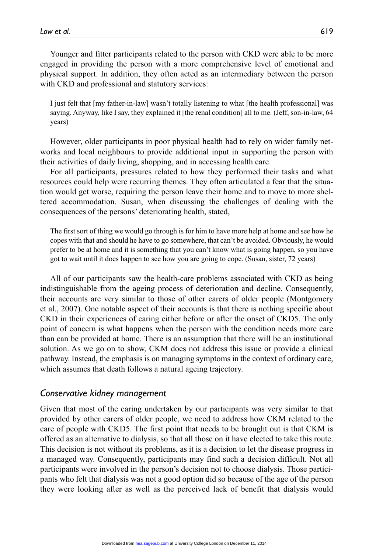Younger and fitter participants related to the person with CKD were able to be more engaged in providing the person with a more comprehensive level of emotional and physical support. In addition, they often acted as an intermediary between the person with CKD and professional and statutory services:

I just felt that [my father-in-law] wasn't totally listening to what [the health professional] was saying. Anyway, like I say, they explained it [the renal condition] all to me. (Jeff, son-in-law, 64 years)

However, older participants in poor physical health had to rely on wider family networks and local neighbours to provide additional input in supporting the person with their activities of daily living, shopping, and in accessing health care.

For all participants, pressures related to how they performed their tasks and what resources could help were recurring themes. They often articulated a fear that the situation would get worse, requiring the person leave their home and to move to more sheltered accommodation. Susan, when discussing the challenges of dealing with the consequences of the persons' deteriorating health, stated,

The first sort of thing we would go through is for him to have more help at home and see how he copes with that and should he have to go somewhere, that can't be avoided. Obviously, he would prefer to be at home and it is something that you can't know what is going happen, so you have got to wait until it does happen to see how you are going to cope. (Susan, sister, 72 years)

All of our participants saw the health-care problems associated with CKD as being indistinguishable from the ageing process of deterioration and decline. Consequently, their accounts are very similar to those of other carers of older people (Montgomery et al., 2007). One notable aspect of their accounts is that there is nothing specific about CKD in their experiences of caring either before or after the onset of CKD5. The only point of concern is what happens when the person with the condition needs more care than can be provided at home. There is an assumption that there will be an institutional solution. As we go on to show, CKM does not address this issue or provide a clinical pathway. Instead, the emphasis is on managing symptoms in the context of ordinary care, which assumes that death follows a natural ageing trajectory.

### *Conservative kidney management*

Given that most of the caring undertaken by our participants was very similar to that provided by other carers of older people, we need to address how CKM related to the care of people with CKD5. The first point that needs to be brought out is that CKM is offered as an alternative to dialysis, so that all those on it have elected to take this route. This decision is not without its problems, as it is a decision to let the disease progress in a managed way. Consequently, participants may find such a decision difficult. Not all participants were involved in the person's decision not to choose dialysis. Those participants who felt that dialysis was not a good option did so because of the age of the person they were looking after as well as the perceived lack of benefit that dialysis would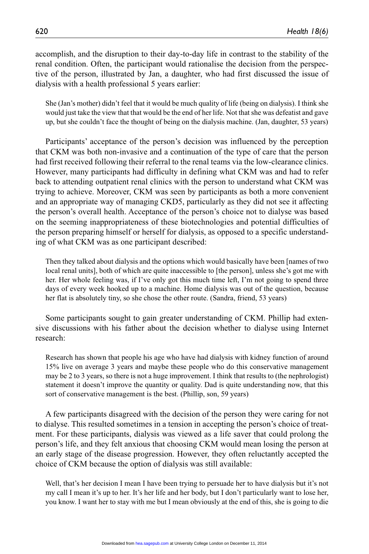accomplish, and the disruption to their day-to-day life in contrast to the stability of the renal condition. Often, the participant would rationalise the decision from the perspective of the person, illustrated by Jan, a daughter, who had first discussed the issue of dialysis with a health professional 5 years earlier:

She (Jan's mother) didn't feel that it would be much quality of life (being on dialysis). I think she would just take the view that that would be the end of her life. Not that she was defeatist and gave up, but she couldn't face the thought of being on the dialysis machine. (Jan, daughter, 53 years)

Participants' acceptance of the person's decision was influenced by the perception that CKM was both non-invasive and a continuation of the type of care that the person had first received following their referral to the renal teams via the low-clearance clinics. However, many participants had difficulty in defining what CKM was and had to refer back to attending outpatient renal clinics with the person to understand what CKM was trying to achieve. Moreover, CKM was seen by participants as both a more convenient and an appropriate way of managing CKD5, particularly as they did not see it affecting the person's overall health. Acceptance of the person's choice not to dialyse was based on the seeming inappropriateness of these biotechnologies and potential difficulties of the person preparing himself or herself for dialysis, as opposed to a specific understanding of what CKM was as one participant described:

Then they talked about dialysis and the options which would basically have been [names of two local renal units], both of which are quite inaccessible to [the person], unless she's got me with her. Her whole feeling was, if I've only got this much time left, I'm not going to spend three days of every week hooked up to a machine. Home dialysis was out of the question, because her flat is absolutely tiny, so she chose the other route. (Sandra, friend, 53 years)

Some participants sought to gain greater understanding of CKM. Phillip had extensive discussions with his father about the decision whether to dialyse using Internet research:

Research has shown that people his age who have had dialysis with kidney function of around 15% live on average 3 years and maybe these people who do this conservative management may be 2 to 3 years, so there is not a huge improvement. I think that results to (the nephrologist) statement it doesn't improve the quantity or quality. Dad is quite understanding now, that this sort of conservative management is the best. (Phillip, son, 59 years)

A few participants disagreed with the decision of the person they were caring for not to dialyse. This resulted sometimes in a tension in accepting the person's choice of treatment. For these participants, dialysis was viewed as a life saver that could prolong the person's life, and they felt anxious that choosing CKM would mean losing the person at an early stage of the disease progression. However, they often reluctantly accepted the choice of CKM because the option of dialysis was still available:

Well, that's her decision I mean I have been trying to persuade her to have dialysis but it's not my call I mean it's up to her. It's her life and her body, but I don't particularly want to lose her, you know. I want her to stay with me but I mean obviously at the end of this, she is going to die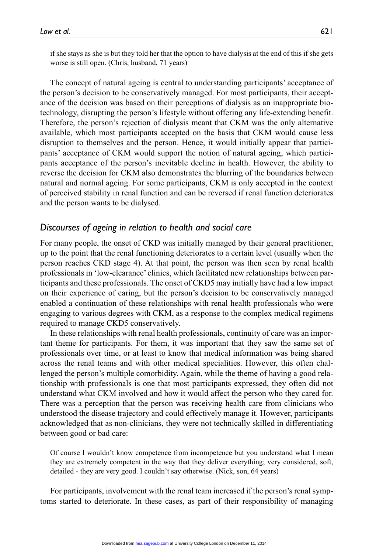if she stays as she is but they told her that the option to have dialysis at the end of this if she gets worse is still open. (Chris, husband, 71 years)

The concept of natural ageing is central to understanding participants' acceptance of the person's decision to be conservatively managed. For most participants, their acceptance of the decision was based on their perceptions of dialysis as an inappropriate biotechnology, disrupting the person's lifestyle without offering any life-extending benefit. Therefore, the person's rejection of dialysis meant that CKM was the only alternative available, which most participants accepted on the basis that CKM would cause less disruption to themselves and the person. Hence, it would initially appear that participants' acceptance of CKM would support the notion of natural ageing, which participants acceptance of the person's inevitable decline in health. However, the ability to reverse the decision for CKM also demonstrates the blurring of the boundaries between natural and normal ageing. For some participants, CKM is only accepted in the context of perceived stability in renal function and can be reversed if renal function deteriorates and the person wants to be dialysed.

### *Discourses of ageing in relation to health and social care*

For many people, the onset of CKD was initially managed by their general practitioner, up to the point that the renal functioning deteriorates to a certain level (usually when the person reaches CKD stage 4). At that point, the person was then seen by renal health professionals in 'low-clearance' clinics, which facilitated new relationships between participants and these professionals. The onset of CKD5 may initially have had a low impact on their experience of caring, but the person's decision to be conservatively managed enabled a continuation of these relationships with renal health professionals who were engaging to various degrees with CKM, as a response to the complex medical regimens required to manage CKD5 conservatively.

In these relationships with renal health professionals, continuity of care was an important theme for participants. For them, it was important that they saw the same set of professionals over time, or at least to know that medical information was being shared across the renal teams and with other medical specialities. However, this often challenged the person's multiple comorbidity. Again, while the theme of having a good relationship with professionals is one that most participants expressed, they often did not understand what CKM involved and how it would affect the person who they cared for. There was a perception that the person was receiving health care from clinicians who understood the disease trajectory and could effectively manage it. However, participants acknowledged that as non-clinicians, they were not technically skilled in differentiating between good or bad care:

Of course I wouldn't know competence from incompetence but you understand what I mean they are extremely competent in the way that they deliver everything; very considered, soft, detailed - they are very good. I couldn't say otherwise. (Nick, son, 64 years)

For participants, involvement with the renal team increased if the person's renal symptoms started to deteriorate. In these cases, as part of their responsibility of managing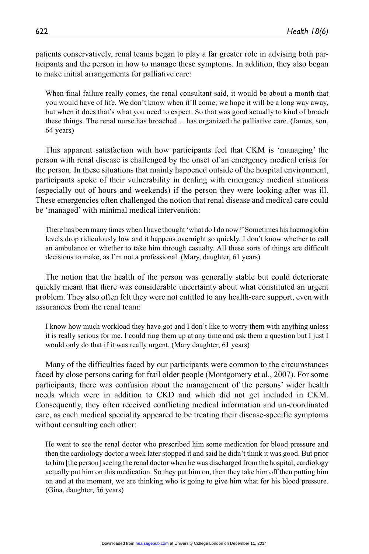patients conservatively, renal teams began to play a far greater role in advising both participants and the person in how to manage these symptoms. In addition, they also began to make initial arrangements for palliative care:

When final failure really comes, the renal consultant said, it would be about a month that you would have of life. We don't know when it'll come; we hope it will be a long way away, but when it does that's what you need to expect. So that was good actually to kind of broach these things. The renal nurse has broached… has organized the palliative care. (James, son, 64 years)

This apparent satisfaction with how participants feel that CKM is 'managing' the person with renal disease is challenged by the onset of an emergency medical crisis for the person. In these situations that mainly happened outside of the hospital environment, participants spoke of their vulnerability in dealing with emergency medical situations (especially out of hours and weekends) if the person they were looking after was ill. These emergencies often challenged the notion that renal disease and medical care could be 'managed' with minimal medical intervention:

There has been many times when I have thought 'what do I do now?' Sometimes his haemoglobin levels drop ridiculously low and it happens overnight so quickly. I don't know whether to call an ambulance or whether to take him through casualty. All these sorts of things are difficult decisions to make, as I'm not a professional. (Mary, daughter, 61 years)

The notion that the health of the person was generally stable but could deteriorate quickly meant that there was considerable uncertainty about what constituted an urgent problem. They also often felt they were not entitled to any health-care support, even with assurances from the renal team:

I know how much workload they have got and I don't like to worry them with anything unless it is really serious for me. I could ring them up at any time and ask them a question but I just I would only do that if it was really urgent. (Mary daughter, 61 years)

Many of the difficulties faced by our participants were common to the circumstances faced by close persons caring for frail older people (Montgomery et al., 2007). For some participants, there was confusion about the management of the persons' wider health needs which were in addition to CKD and which did not get included in CKM. Consequently, they often received conflicting medical information and un-coordinated care, as each medical speciality appeared to be treating their disease-specific symptoms without consulting each other:

He went to see the renal doctor who prescribed him some medication for blood pressure and then the cardiology doctor a week later stopped it and said he didn't think it was good. But prior to him [the person] seeing the renal doctor when he was discharged from the hospital, cardiology actually put him on this medication. So they put him on, then they take him off then putting him on and at the moment, we are thinking who is going to give him what for his blood pressure. (Gina, daughter, 56 years)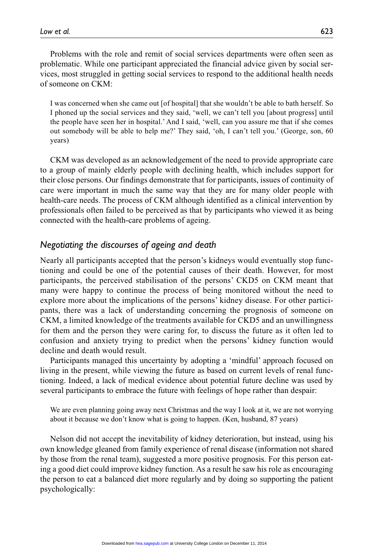Problems with the role and remit of social services departments were often seen as problematic. While one participant appreciated the financial advice given by social services, most struggled in getting social services to respond to the additional health needs of someone on CKM:

I was concerned when she came out [of hospital] that she wouldn't be able to bath herself. So I phoned up the social services and they said, 'well, we can't tell you [about progress] until the people have seen her in hospital.' And I said, 'well, can you assure me that if she comes out somebody will be able to help me?' They said, 'oh, I can't tell you.' (George, son, 60 years)

CKM was developed as an acknowledgement of the need to provide appropriate care to a group of mainly elderly people with declining health, which includes support for their close persons. Our findings demonstrate that for participants, issues of continuity of care were important in much the same way that they are for many older people with health-care needs. The process of CKM although identified as a clinical intervention by professionals often failed to be perceived as that by participants who viewed it as being connected with the health-care problems of ageing.

## *Negotiating the discourses of ageing and death*

Nearly all participants accepted that the person's kidneys would eventually stop functioning and could be one of the potential causes of their death. However, for most participants, the perceived stabilisation of the persons' CKD5 on CKM meant that many were happy to continue the process of being monitored without the need to explore more about the implications of the persons' kidney disease. For other participants, there was a lack of understanding concerning the prognosis of someone on CKM, a limited knowledge of the treatments available for CKD5 and an unwillingness for them and the person they were caring for, to discuss the future as it often led to confusion and anxiety trying to predict when the persons' kidney function would decline and death would result.

Participants managed this uncertainty by adopting a 'mindful' approach focused on living in the present, while viewing the future as based on current levels of renal functioning. Indeed, a lack of medical evidence about potential future decline was used by several participants to embrace the future with feelings of hope rather than despair:

We are even planning going away next Christmas and the way I look at it, we are not worrying about it because we don't know what is going to happen. (Ken, husband, 87 years)

Nelson did not accept the inevitability of kidney deterioration, but instead, using his own knowledge gleaned from family experience of renal disease (information not shared by those from the renal team), suggested a more positive prognosis. For this person eating a good diet could improve kidney function. As a result he saw his role as encouraging the person to eat a balanced diet more regularly and by doing so supporting the patient psychologically: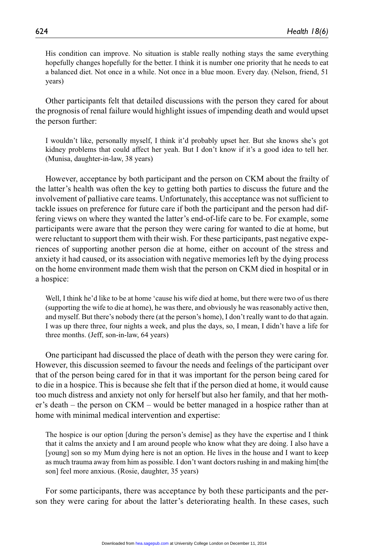His condition can improve. No situation is stable really nothing stays the same everything hopefully changes hopefully for the better. I think it is number one priority that he needs to eat a balanced diet. Not once in a while. Not once in a blue moon. Every day. (Nelson, friend, 51 years)

Other participants felt that detailed discussions with the person they cared for about the prognosis of renal failure would highlight issues of impending death and would upset the person further:

I wouldn't like, personally myself, I think it'd probably upset her. But she knows she's got kidney problems that could affect her yeah. But I don't know if it's a good idea to tell her. (Munisa, daughter-in-law, 38 years)

However, acceptance by both participant and the person on CKM about the frailty of the latter's health was often the key to getting both parties to discuss the future and the involvement of palliative care teams. Unfortunately, this acceptance was not sufficient to tackle issues on preference for future care if both the participant and the person had differing views on where they wanted the latter's end-of-life care to be. For example, some participants were aware that the person they were caring for wanted to die at home, but were reluctant to support them with their wish. For these participants, past negative experiences of supporting another person die at home, either on account of the stress and anxiety it had caused, or its association with negative memories left by the dying process on the home environment made them wish that the person on CKM died in hospital or in a hospice:

Well, I think he'd like to be at home 'cause his wife died at home, but there were two of us there (supporting the wife to die at home), he was there, and obviously he was reasonably active then, and myself. But there's nobody there (at the person's home), I don't really want to do that again. I was up there three, four nights a week, and plus the days, so, I mean, I didn't have a life for three months. (Jeff, son-in-law, 64 years)

One participant had discussed the place of death with the person they were caring for. However, this discussion seemed to favour the needs and feelings of the participant over that of the person being cared for in that it was important for the person being cared for to die in a hospice. This is because she felt that if the person died at home, it would cause too much distress and anxiety not only for herself but also her family, and that her mother's death – the person on CKM – would be better managed in a hospice rather than at home with minimal medical intervention and expertise:

The hospice is our option [during the person's demise] as they have the expertise and I think that it calms the anxiety and I am around people who know what they are doing. I also have a [young] son so my Mum dying here is not an option. He lives in the house and I want to keep as much trauma away from him as possible. I don't want doctors rushing in and making him[the son] feel more anxious. (Rosie, daughter, 35 years)

For some participants, there was acceptance by both these participants and the person they were caring for about the latter's deteriorating health. In these cases, such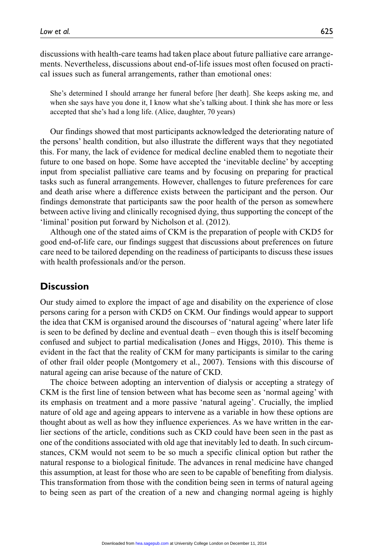discussions with health-care teams had taken place about future palliative care arrangements. Nevertheless, discussions about end-of-life issues most often focused on practical issues such as funeral arrangements, rather than emotional ones:

She's determined I should arrange her funeral before [her death]. She keeps asking me, and when she says have you done it, I know what she's talking about. I think she has more or less accepted that she's had a long life. (Alice, daughter, 70 years)

Our findings showed that most participants acknowledged the deteriorating nature of the persons' health condition, but also illustrate the different ways that they negotiated this. For many, the lack of evidence for medical decline enabled them to negotiate their future to one based on hope. Some have accepted the 'inevitable decline' by accepting input from specialist palliative care teams and by focusing on preparing for practical tasks such as funeral arrangements. However, challenges to future preferences for care and death arise where a difference exists between the participant and the person. Our findings demonstrate that participants saw the poor health of the person as somewhere between active living and clinically recognised dying, thus supporting the concept of the 'liminal' position put forward by Nicholson et al. (2012).

Although one of the stated aims of CKM is the preparation of people with CKD5 for good end-of-life care, our findings suggest that discussions about preferences on future care need to be tailored depending on the readiness of participants to discuss these issues with health professionals and/or the person.

# **Discussion**

Our study aimed to explore the impact of age and disability on the experience of close persons caring for a person with CKD5 on CKM. Our findings would appear to support the idea that CKM is organised around the discourses of 'natural ageing' where later life is seen to be defined by decline and eventual death – even though this is itself becoming confused and subject to partial medicalisation (Jones and Higgs, 2010). This theme is evident in the fact that the reality of CKM for many participants is similar to the caring of other frail older people (Montgomery et al., 2007). Tensions with this discourse of natural ageing can arise because of the nature of CKD.

The choice between adopting an intervention of dialysis or accepting a strategy of CKM is the first line of tension between what has become seen as 'normal ageing' with its emphasis on treatment and a more passive 'natural ageing'. Crucially, the implied nature of old age and ageing appears to intervene as a variable in how these options are thought about as well as how they influence experiences. As we have written in the earlier sections of the article, conditions such as CKD could have been seen in the past as one of the conditions associated with old age that inevitably led to death. In such circumstances, CKM would not seem to be so much a specific clinical option but rather the natural response to a biological finitude. The advances in renal medicine have changed this assumption, at least for those who are seen to be capable of benefiting from dialysis. This transformation from those with the condition being seen in terms of natural ageing to being seen as part of the creation of a new and changing normal ageing is highly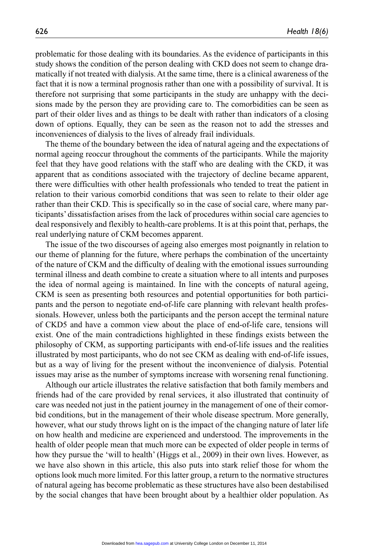problematic for those dealing with its boundaries. As the evidence of participants in this study shows the condition of the person dealing with CKD does not seem to change dramatically if not treated with dialysis. At the same time, there is a clinical awareness of the fact that it is now a terminal prognosis rather than one with a possibility of survival. It is therefore not surprising that some participants in the study are unhappy with the decisions made by the person they are providing care to. The comorbidities can be seen as part of their older lives and as things to be dealt with rather than indicators of a closing down of options. Equally, they can be seen as the reason not to add the stresses and inconveniences of dialysis to the lives of already frail individuals.

The theme of the boundary between the idea of natural ageing and the expectations of normal ageing reoccur throughout the comments of the participants. While the majority feel that they have good relations with the staff who are dealing with the CKD, it was apparent that as conditions associated with the trajectory of decline became apparent, there were difficulties with other health professionals who tended to treat the patient in relation to their various comorbid conditions that was seen to relate to their older age rather than their CKD. This is specifically so in the case of social care, where many participants' dissatisfaction arises from the lack of procedures within social care agencies to deal responsively and flexibly to health-care problems. It is at this point that, perhaps, the real underlying nature of CKM becomes apparent.

The issue of the two discourses of ageing also emerges most poignantly in relation to our theme of planning for the future, where perhaps the combination of the uncertainty of the nature of CKM and the difficulty of dealing with the emotional issues surrounding terminal illness and death combine to create a situation where to all intents and purposes the idea of normal ageing is maintained. In line with the concepts of natural ageing, CKM is seen as presenting both resources and potential opportunities for both participants and the person to negotiate end-of-life care planning with relevant health professionals. However, unless both the participants and the person accept the terminal nature of CKD5 and have a common view about the place of end-of-life care, tensions will exist. One of the main contradictions highlighted in these findings exists between the philosophy of CKM, as supporting participants with end-of-life issues and the realities illustrated by most participants, who do not see CKM as dealing with end-of-life issues, but as a way of living for the present without the inconvenience of dialysis. Potential issues may arise as the number of symptoms increase with worsening renal functioning.

Although our article illustrates the relative satisfaction that both family members and friends had of the care provided by renal services, it also illustrated that continuity of care was needed not just in the patient journey in the management of one of their comorbid conditions, but in the management of their whole disease spectrum. More generally, however, what our study throws light on is the impact of the changing nature of later life on how health and medicine are experienced and understood. The improvements in the health of older people mean that much more can be expected of older people in terms of how they pursue the 'will to health' (Higgs et al., 2009) in their own lives. However, as we have also shown in this article, this also puts into stark relief those for whom the options look much more limited. For this latter group, a return to the normative structures of natural ageing has become problematic as these structures have also been destabilised by the social changes that have been brought about by a healthier older population. As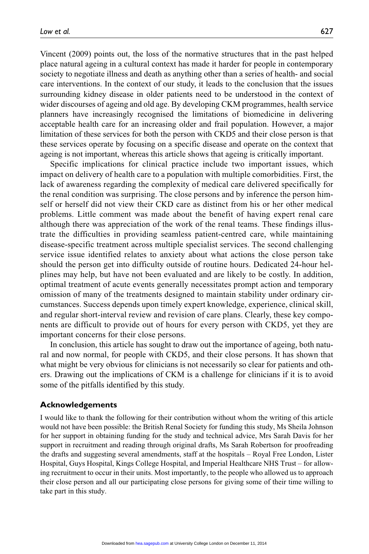Vincent (2009) points out, the loss of the normative structures that in the past helped place natural ageing in a cultural context has made it harder for people in contemporary society to negotiate illness and death as anything other than a series of health- and social care interventions. In the context of our study, it leads to the conclusion that the issues surrounding kidney disease in older patients need to be understood in the context of wider discourses of ageing and old age. By developing CKM programmes, health service planners have increasingly recognised the limitations of biomedicine in delivering acceptable health care for an increasing older and frail population. However, a major limitation of these services for both the person with CKD5 and their close person is that these services operate by focusing on a specific disease and operate on the context that ageing is not important, whereas this article shows that ageing is critically important.

Specific implications for clinical practice include two important issues, which impact on delivery of health care to a population with multiple comorbidities. First, the lack of awareness regarding the complexity of medical care delivered specifically for the renal condition was surprising. The close persons and by inference the person himself or herself did not view their CKD care as distinct from his or her other medical problems. Little comment was made about the benefit of having expert renal care although there was appreciation of the work of the renal teams. These findings illustrate the difficulties in providing seamless patient-centred care, while maintaining disease-specific treatment across multiple specialist services. The second challenging service issue identified relates to anxiety about what actions the close person take should the person get into difficulty outside of routine hours. Dedicated 24-hour helplines may help, but have not been evaluated and are likely to be costly. In addition, optimal treatment of acute events generally necessitates prompt action and temporary omission of many of the treatments designed to maintain stability under ordinary circumstances. Success depends upon timely expert knowledge, experience, clinical skill, and regular short-interval review and revision of care plans. Clearly, these key components are difficult to provide out of hours for every person with CKD5, yet they are important concerns for their close persons.

In conclusion, this article has sought to draw out the importance of ageing, both natural and now normal, for people with CKD5, and their close persons. It has shown that what might be very obvious for clinicians is not necessarily so clear for patients and others. Drawing out the implications of CKM is a challenge for clinicians if it is to avoid some of the pitfalls identified by this study.

#### **Acknowledgements**

I would like to thank the following for their contribution without whom the writing of this article would not have been possible: the British Renal Society for funding this study, Ms Sheila Johnson for her support in obtaining funding for the study and technical advice, Mrs Sarah Davis for her support in recruitment and reading through original drafts, Ms Sarah Robertson for proofreading the drafts and suggesting several amendments, staff at the hospitals – Royal Free London, Lister Hospital, Guys Hospital, Kings College Hospital, and Imperial Healthcare NHS Trust – for allowing recruitment to occur in their units. Most importantly, to the people who allowed us to approach their close person and all our participating close persons for giving some of their time willing to take part in this study.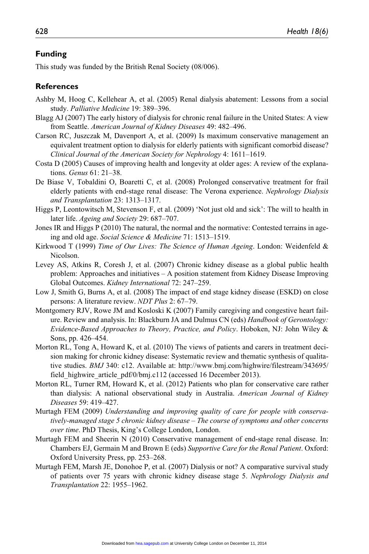#### **Funding**

This study was funded by the British Renal Society (08/006).

#### **References**

- Ashby M, Hoog C, Kellehear A, et al. (2005) Renal dialysis abatement: Lessons from a social study. *Palliative Medicine* 19: 389–396.
- Blagg AJ (2007) The early history of dialysis for chronic renal failure in the United States: A view from Seattle. *American Journal of Kidney Diseases* 49: 482–496.
- Carson RC, Juszczak M, Davenport A, et al. (2009) Is maximum conservative management an equivalent treatment option to dialysis for elderly patients with significant comorbid disease? *Clinical Journal of the American Society for Nephrology* 4: 1611–1619.
- Costa D (2005) Causes of improving health and longevity at older ages: A review of the explanations. *Genus* 61: 21–38.
- De Biase V, Tobaldini O, Boaretti C, et al. (2008) Prolonged conservative treatment for frail elderly patients with end-stage renal disease: The Verona experience. *Nephrology Dialysis and Transplantation* 23: 1313–1317.
- Higgs P, Leontowitsch M, Stevenson F, et al. (2009) 'Not just old and sick': The will to health in later life. *Ageing and Society* 29: 687–707.
- Jones IR and Higgs P (2010) The natural, the normal and the normative: Contested terrains in ageing and old age. *Social Science & Medicine* 71: 1513–1519.
- Kirkwood T (1999) *Time of Our Lives: The Science of Human Ageing*. London: Weidenfeld & Nicolson.
- Levey AS, Atkins R, Coresh J, et al. (2007) Chronic kidney disease as a global public health problem: Approaches and initiatives – A position statement from Kidney Disease Improving Global Outcomes. *Kidney International* 72: 247–259.
- Low J, Smith G, Burns A, et al. (2008) The impact of end stage kidney disease (ESKD) on close persons: A literature review. *NDT Plus* 2: 67–79.
- Montgomery RJV, Rowe JM and Kosloski K (2007) Family caregiving and congestive heart failure. Review and analysis. In: Blackburn JA and Dulmus CN (eds) *Handbook of Gerontology: Evidence-Based Approaches to Theory, Practice, and Policy*. Hoboken, NJ: John Wiley & Sons, pp. 426–454.
- Morton RL, Tong A, Howard K, et al. (2010) The views of patients and carers in treatment decision making for chronic kidney disease: Systematic review and thematic synthesis of qualitative studies. *BMJ* [340: c12. Available at: http://www.bmj.com/highwire/filestream/343695/](http://www.bmj.com/highwire/filestream/343695/field_highwire_article_pdf/0/bmj.c112) field\_highwire\_article\_pdf/0/bmj.c112 (accessed 16 December 2013).
- Morton RL, Turner RM, Howard K, et al. (2012) Patients who plan for conservative care rather than dialysis: A national observational study in Australia. *American Journal of Kidney Diseases* 59: 419–427.
- Murtagh FEM (2009) *Understanding and improving quality of care for people with conservatively-managed stage 5 chronic kidney disease – The course of symptoms and other concerns over time*. PhD Thesis, King's College London, London.
- Murtagh FEM and Sheerin N (2010) Conservative management of end-stage renal disease. In: Chambers EJ, Germain M and Brown E (eds) *Supportive Care for the Renal Patient*. Oxford: Oxford University Press, pp. 253–268.
- Murtagh FEM, Marsh JE, Donohoe P, et al. (2007) Dialysis or not? A comparative survival study of patients over 75 years with chronic kidney disease stage 5. *Nephrology Dialysis and Transplantation* 22: 1955–1962.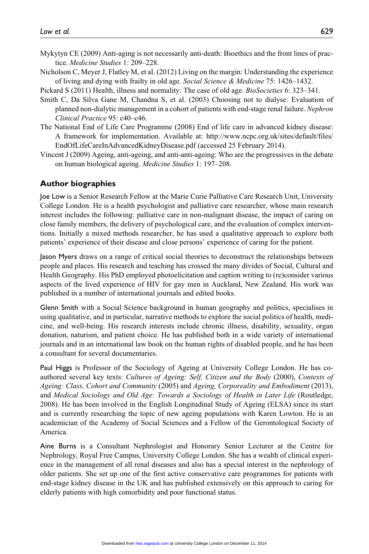- Mykytyn CE (2009) Anti-aging is not necessarily anti-death: Bioethics and the front lines of practice. *Medicine Studies* 1: 209–228.
- Nicholson C, Meyer J, Flatley M, et al. (2012) Living on the margin: Understanding the experience of living and dying with frailty in old age. *Social Science & Medicine* 75: 1426–1432.

Pickard S (2011) Health, illness and normality: The case of old age. *BioSocieties* 6: 323–341.

- Smith C, Da Silva Gane M, Chandna S, et al. (2003) Choosing not to dialyse: Evaluation of planned non-dialytic management in a cohort of patients with end-stage renal failure. *Nephron Clinical Practice* 95: c40–c46.
- The National End of Life Care Programme (2008) End of life care in advanced kidney disease: [A framework for implementation. Available at: http://www.ncpc.org.uk/sites/default/files/](http://www.ncpc.org.uk/sites/default/files/EndOfLifeCareInAdvancedKidneyDisease.pdf) EndOfLifeCareInAdvancedKidneyDisease.pdf (accessed 25 February 2014).
- Vincent J (2009) Ageing, anti-ageing, and anti-anti-ageing: Who are the progressives in the debate on human biological ageing. *Medicine Studies* 1: 197–208.

#### **Author biographies**

Joe Low is a Senior Research Fellow at the Marie Curie Palliative Care Research Unit, University College London. He is a health psychologist and palliative care researcher, whose main research interest includes the following: palliative care in non-malignant disease, the impact of caring on close family members, the delivery of psychological care, and the evaluation of complex interventions. Initially a mixed methods researcher, he has used a qualitative approach to explore both patients' experience of their disease and close persons' experience of caring for the patient.

Jason Myers draws on a range of critical social theories to deconstruct the relationships between people and places. His research and teaching has crossed the many divides of Social, Cultural and Health Geography. His PhD employed photoelicitation and caption writing to (re)consider various aspects of the lived experience of HIV for gay men in Auckland, New Zealand. His work was published in a number of international journals and edited books.

Glenn Smith with a Social Science background in human geography and politics, specialises in using qualitative, and in particular, narrative methods to explore the social politics of health, medicine, and well-being. His research interests include chronic illness, disability, sexuality, organ donation, naturism, and patient choice. He has published both in a wide variety of international journals and in an international law book on the human rights of disabled people, and he has been a consultant for several documentaries.

Paul Higgs is Professor of the Sociology of Ageing at University College London. He has coauthored several key texts: *Cultures of Ageing: Self, Citizen and the Body* (2000), *Contexts of Ageing: Class, Cohort and Community* (2005) and *Ageing, Corporeality and Embodiment* (2013), and *Medical Sociology and Old Age: Towards a Sociology of Health in Later Life* (Routledge, 2008). He has been involved in the English Longitudinal Study of Ageing (ELSA) since its start and is currently researching the topic of new ageing populations with Karen Lowton. He is an academician of the Academy of Social Sciences and a Fellow of the Gerontological Society of America.

Aine Burns is a Consultant Nephrologist and Honorary Senior Lecturer at the Centre for Nephrology, Royal Free Campus, University College London. She has a wealth of clinical experience in the management of all renal diseases and also has a special interest in the nephrology of older patients. She set up one of the first active conservative care programmes for patients with end-stage kidney disease in the UK and has published extensively on this approach to caring for elderly patients with high comorbidity and poor functional status.